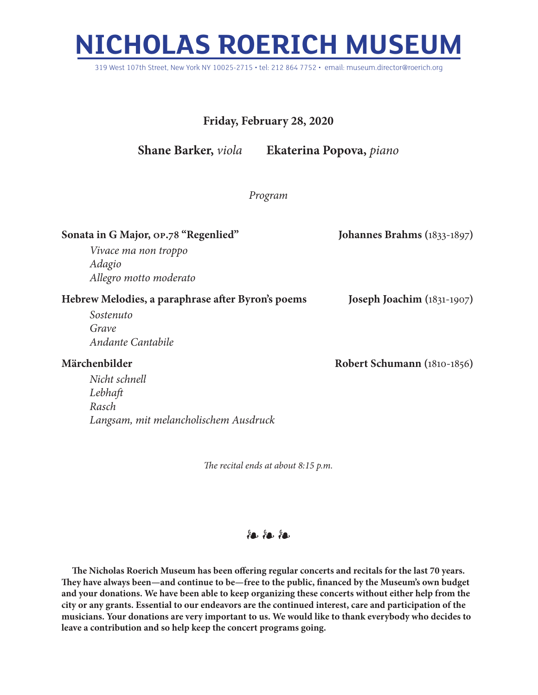## **NICHOLAS ROERICH MUSEUM**

319 West 107th Street, New York NY 10025-2715 • tel: 212 864 7752 • email: museum.director@roerich.org

## **Friday, February 28, 2020**

**Shane Barker,** *viola* **Ekaterina Popova,** *piano*

## *Program*

| Sonata in G Major, op.78 "Regenlied"              | Johannes Brahms (1833-1897)  |
|---------------------------------------------------|------------------------------|
| Vivace ma non troppo                              |                              |
| Adagio                                            |                              |
| Allegro motto moderato                            |                              |
| Hebrew Melodies, a paraphrase after Byron's poems | Joseph Joachim $(1831-1907)$ |
| Sostenuto                                         |                              |
| Grave                                             |                              |
| Andante Cantabile                                 |                              |
| Märchenbilder                                     | Robert Schumann (1810-1856)  |
| Nicht schnell                                     |                              |
| Lebhaft                                           |                              |
| Rasch                                             |                              |

*The recital ends at about 8:15 p.m.*

*Langsam, mit melancholischem Ausdruck*

## $%$

**The Nicholas Roerich Museum has been offering regular concerts and recitals for the last 70 years. They have always been—and continue to be—free to the public, financed by the Museum's own budget and your donations. We have been able to keep organizing these concerts without either help from the city or any grants. Essential to our endeavors are the continued interest, care and participation of the musicians. Your donations are very important to us. We would like to thank everybody who decides to leave a contribution and so help keep the concert programs going.**